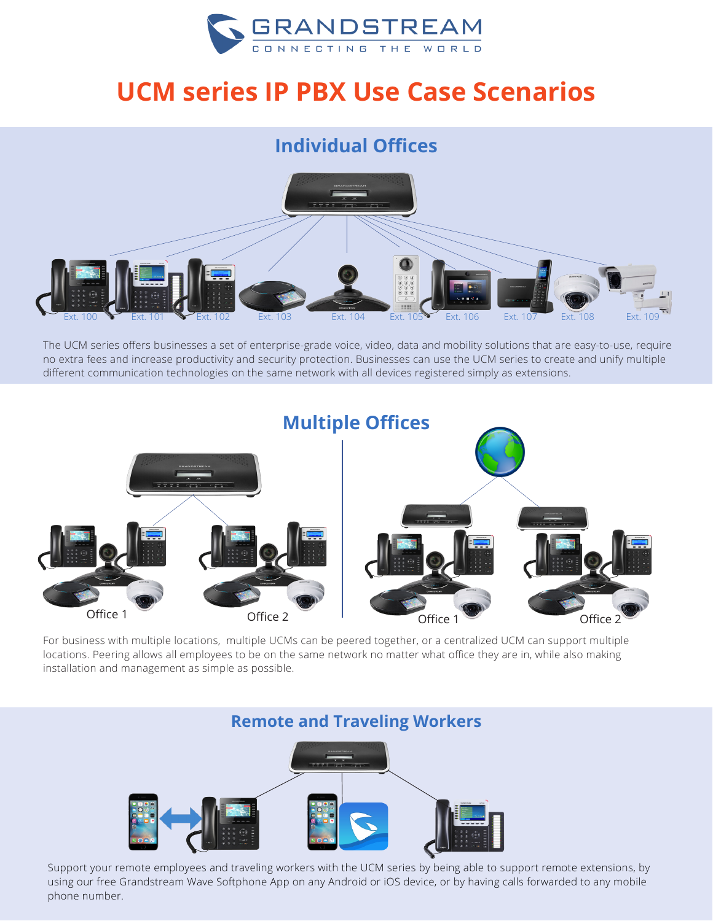

# **UCM series IP PBX Use Case Scenarios**

## **Individual Offices**



The UCM series offers businesses a set of enterprise-grade voice, video, data and mobility solutions that are easy-to-use, require no extra fees and increase productivity and security protection. Businesses can use the UCM series to create and unify multiple different communication technologies on the same network with all devices registered simply as extensions.



For business with multiple locations, multiple UCMs can be peered together, or a centralized UCM can support multiple locations. Peering allows all employees to be on the same network no matter what office they are in, while also making installation and management as simple as possible.

#### **Remote and Traveling Workers**



Support your remote employees and traveling workers with the UCM series by being able to support remote extensions, by using our free Grandstream Wave Softphone App on any Android or iOS device, or by having calls forwarded to any mobile phone number.